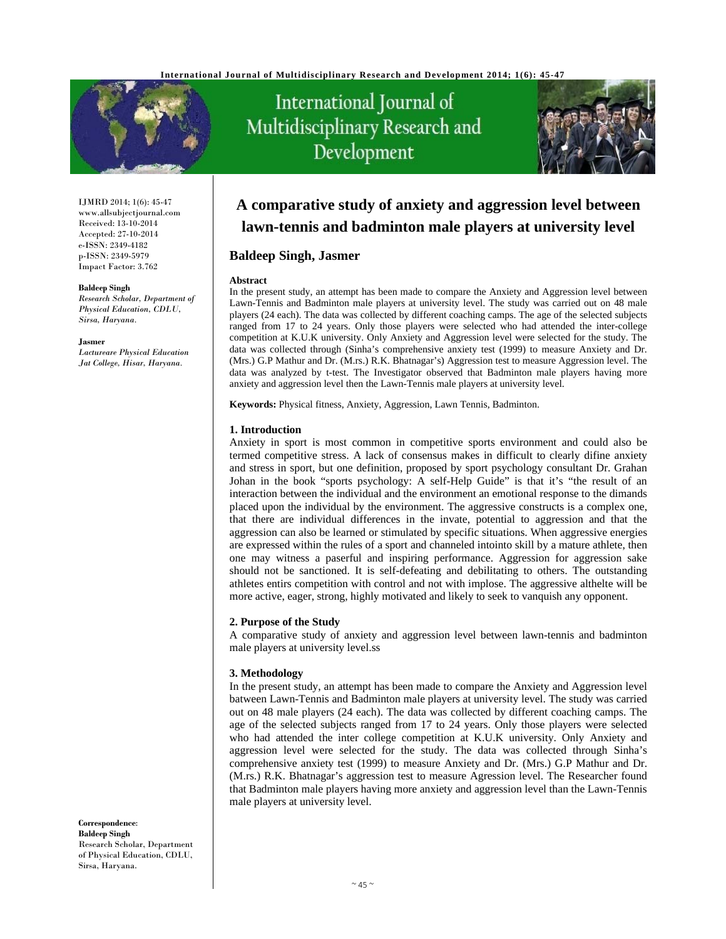

IJMRD 2014; 1(6): 45-47 www.allsubjectjournal.com Received: 13-10-2014 Accepted: 27-10-2014 e-ISSN: 2349-4182 p-ISSN: 2349-5979 Impact Factor: 3.762

#### **Baldeep Singh**

*Research Scholar, Department of Physical Education, CDLU, Sirsa, Haryana.*

#### **Jasmer**

*Lactureare Physical Education Jat College, Hisar, Haryana.* 

International Journal of Multidisciplinary Research and Development



# **A comparative study of anxiety and aggression level between lawn-tennis and badminton male players at university level**

# **Baldeep Singh, Jasmer**

#### **Abstract**

In the present study, an attempt has been made to compare the Anxiety and Aggression level between Lawn-Tennis and Badminton male players at university level. The study was carried out on 48 male players (24 each). The data was collected by different coaching camps. The age of the selected subjects ranged from 17 to 24 years. Only those players were selected who had attended the inter-college competition at K.U.K university. Only Anxiety and Aggression level were selected for the study. The data was collected through (Sinha's comprehensive anxiety test (1999) to measure Anxiety and Dr. (Mrs.) G.P Mathur and Dr. (M.rs.) R.K. Bhatnagar's) Aggression test to measure Aggression level. The data was analyzed by t-test. The Investigator observed that Badminton male players having more anxiety and aggression level then the Lawn-Tennis male players at university level.

**Keywords:** Physical fitness, Anxiety, Aggression, Lawn Tennis, Badminton.

#### **1. Introduction**

Anxiety in sport is most common in competitive sports environment and could also be termed competitive stress. A lack of consensus makes in difficult to clearly difine anxiety and stress in sport, but one definition, proposed by sport psychology consultant Dr. Grahan Johan in the book "sports psychology: A self-Help Guide" is that it's "the result of an interaction between the individual and the environment an emotional response to the dimands placed upon the individual by the environment. The aggressive constructs is a complex one, that there are individual differences in the invate, potential to aggression and that the aggression can also be learned or stimulated by specific situations. When aggressive energies are expressed within the rules of a sport and channeled intointo skill by a mature athlete, then one may witness a paserful and inspiring performance. Aggression for aggression sake should not be sanctioned. It is self-defeating and debilitating to others. The outstanding athletes entirs competition with control and not with implose. The aggressive althelte will be more active, eager, strong, highly motivated and likely to seek to vanquish any opponent.

### **2. Purpose of the Study**

A comparative study of anxiety and aggression level between lawn-tennis and badminton male players at university level.ss

### **3. Methodology**

In the present study, an attempt has been made to compare the Anxiety and Aggression level batween Lawn-Tennis and Badminton male players at university level. The study was carried out on 48 male players (24 each). The data was collected by different coaching camps. The age of the selected subjects ranged from 17 to 24 years. Only those players were selected who had attended the inter college competition at K.U.K university. Only Anxiety and aggression level were selected for the study. The data was collected through Sinha's comprehensive anxiety test (1999) to measure Anxiety and Dr. (Mrs.) G.P Mathur and Dr. (M.rs.) R.K. Bhatnagar's aggression test to measure Agression level. The Researcher found that Badminton male players having more anxiety and aggression level than the Lawn-Tennis male players at university level.

**Correspondence**: **Baldeep Singh** Research Scholar, Department of Physical Education, CDLU, Sirsa, Haryana.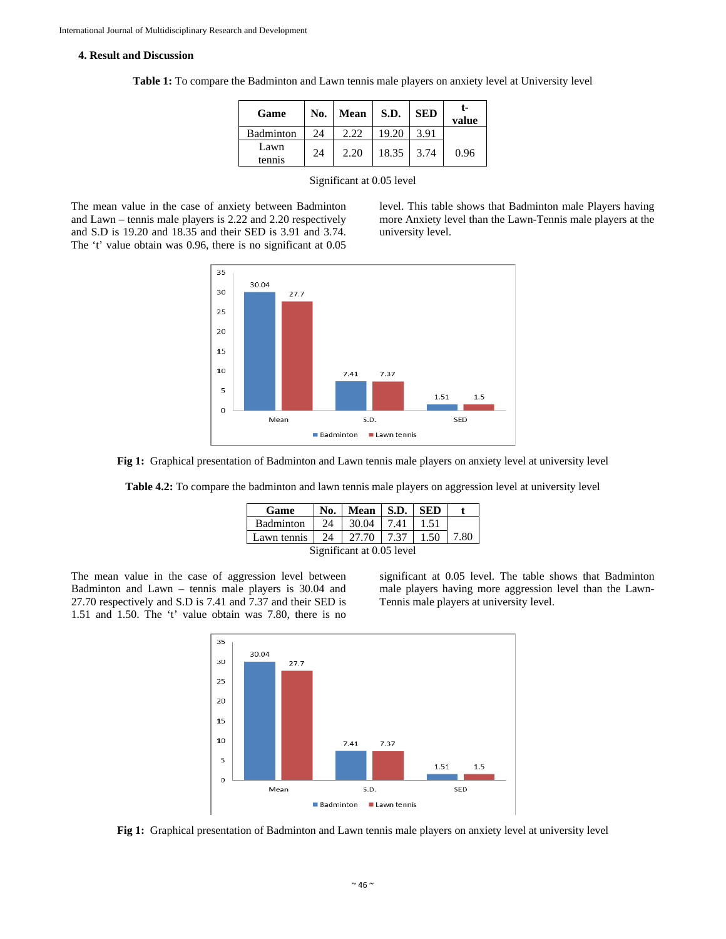#### **4. Result and Discussion**

| Game             | No. | <b>Mean</b> | S.D.  | <b>SED</b> | t-<br>value |
|------------------|-----|-------------|-------|------------|-------------|
| <b>Badminton</b> | 24  | 2.22        | 19.20 | 3.91       |             |
| Lawn<br>tennis   | 24  | 2.20        | 18.35 | 3.74       | 0.96        |

**Table 1:** To compare the Badminton and Lawn tennis male players on anxiety level at University level

#### Significant at 0.05 level

The mean value in the case of anxiety between Badminton and Lawn – tennis male players is 2.22 and 2.20 respectively and S.D is 19.20 and 18.35 and their SED is 3.91 and 3.74. The 't' value obtain was 0.96, there is no significant at 0.05

level. This table shows that Badminton male Players having more Anxiety level than the Lawn-Tennis male players at the university level.





**Table 4.2:** To compare the badminton and lawn tennis male players on aggression level at university level

| Game                      | No. | Mean   S.D.   SED |      |      |      |  |  |
|---------------------------|-----|-------------------|------|------|------|--|--|
| <b>Badminton</b>          | 24  | 30.04             | 7.41 | 1.51 |      |  |  |
| Lawn tennis 24            |     | 27.70             | 7.37 | 1.50 | 7.80 |  |  |
| Significant at 0.05 level |     |                   |      |      |      |  |  |

The mean value in the case of aggression level between Badminton and Lawn – tennis male players is 30.04 and 27.70 respectively and S.D is 7.41 and 7.37 and their SED is 1.51 and 1.50. The 't' value obtain was 7.80, there is no

significant at 0.05 level. The table shows that Badminton male players having more aggression level than the Lawn-Tennis male players at university level.



**Fig 1:** Graphical presentation of Badminton and Lawn tennis male players on anxiety level at university level